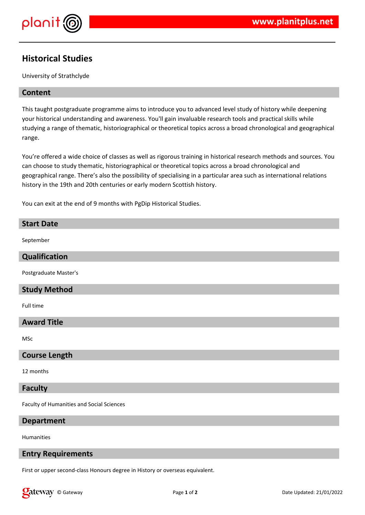

## **Historical Studies**

University of Strathclyde

## **Content**

This taught postgraduate programme aims to introduce you to advanced level study of history while deepening your historical understanding and awareness. You'll gain invaluable research tools and practical skills while studying a range of thematic, historiographical or theoretical topics across a broad chronological and geographical range.

You're offered a wide choice of classes as well as rigorous training in historical research methods and sources. You can choose to study thematic, historiographical or theoretical topics across a broad chronological and geographical range. There's also the possibility of specialising in a particular area such as international relations history in the 19th and 20th centuries or early modern Scottish history.

You can exit at the end of 9 months with PgDip Historical Studies.

# **Start Date** September **Qualification** Postgraduate Master's **Study Method** Full time **Award Title** MSc **Course Length** 12 months

#### **Faculty**

Faculty of Humanities and Social Sciences

## **Department**

Humanities

## **Entry Requirements**

First or upper second-class Honours degree in History or overseas equivalent.